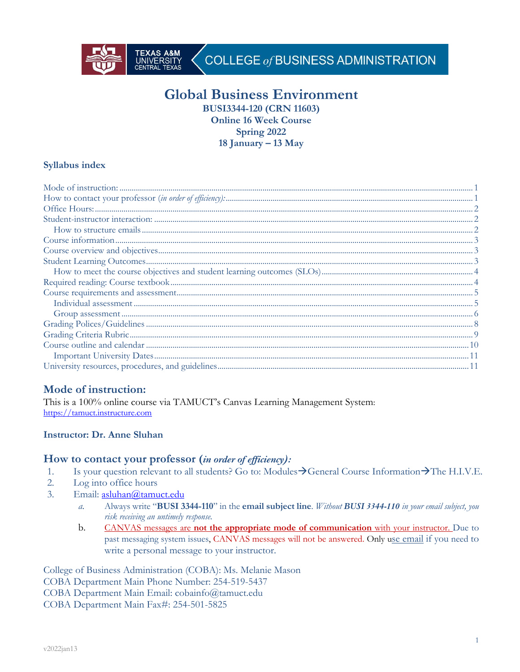

# **Global Business Environment**

**BUSI3344-120 (CRN 11603) Online 16 Week Course Spring 2022 18 January – 13 May**

### **Syllabus index**

# **Mode of instruction:**

This is a 100% online course via TAMUCT's Canvas Learning Management System: https://tamuct.instructure.com

## **Instructor: Dr. Anne Sluhan**

## **How to contact your professor (***in order of efficiency):*

- 1. Is your question relevant to all students? Go to: Modules $\rightarrow$ General Course Information $\rightarrow$ The H.I.V.E.
- 2. Log into office hours
- 3. Email: asluhan@tamuct.edu
	- *a.* Always write "**BUSI 3344-110**" in the **email subject line**. *Without BUSI 3344-110 in your email subject, you risk receiving an untimely response.*
	- b. CANVAS messages are **not the appropriate mode of communication** with your instructor. Due to past messaging system issues, CANVAS messages will not be answered. Only use email if you need to write a personal message to your instructor.

College of Business Administration (COBA): Ms. Melanie Mason COBA Department Main Phone Number: 254-519-5437 COBA Department Main Email: cobainfo@tamuct.edu COBA Department Main Fax#: 254-501-5825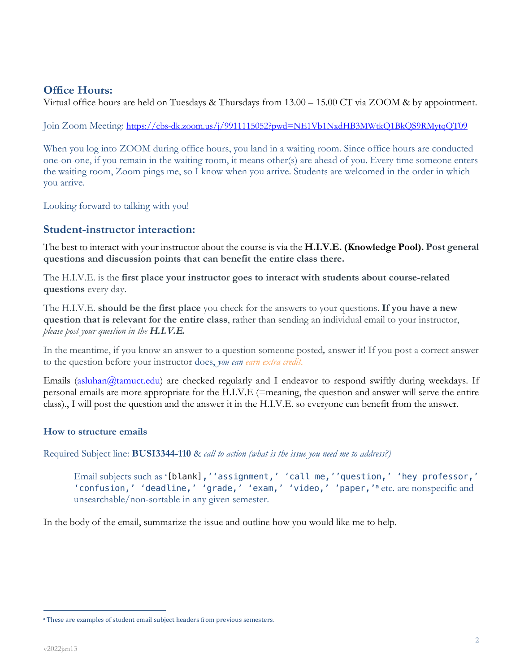# **Office Hours:**

Virtual office hours are held on Tuesdays & Thursdays from 13.00 – 15.00 CT via ZOOM & by appointment.

Join Zoom Meeting: https://cbs-dk.zoom.us/j/9911115052?pwd=NE1Vb1NxdHB3MWtkQ1BkQS9RMytqQT09

When you log into ZOOM during office hours, you land in a waiting room. Since office hours are conducted one-on-one, if you remain in the waiting room, it means other(s) are ahead of you. Every time someone enters the waiting room, Zoom pings me, so I know when you arrive. Students are welcomed in the order in which you arrive.

Looking forward to talking with you!

## **Student-instructor interaction:**

The best to interact with your instructor about the course is via the **H.I.V.E. (Knowledge Pool). Post general questions and discussion points that can benefit the entire class there.**

The H.I.V.E. is the **first place your instructor goes to interact with students about course-related questions** every day.

The H.I.V.E. **should be the first place** you check for the answers to your questions. **If you have a new question that is relevant for the entire class**, rather than sending an individual email to your instructor, *please post your question in the H.I.V.E.*

In the meantime, if you know an answer to a question someone posted*,* answer it! If you post a correct answer to the question before your instructor does, *you can earn extra credit*.

Emails (asluhan@tamuct.edu) are checked regularly and I endeavor to respond swiftly during weekdays. If personal emails are more appropriate for the H.I.V.E (=meaning, the question and answer will serve the entire class)., I will post the question and the answer it in the H.I.V.E. so everyone can benefit from the answer.

### **How to structure emails**

Required Subject line: **BUSI3344-110** & *call to action (what is the issue you need me to address?)*

Email subjects such as '[blank],''assignment,' 'call me,''question,' 'hey professor,' 'confusion,' 'deadline,' 'grade,' 'exam,' 'video,' 'paper,'<sup>a</sup> etc. are nonspecific and unsearchable/non-sortable in any given semester.

In the body of the email, summarize the issue and outline how you would like me to help.

<sup>&</sup>lt;sup>a</sup> These are examples of student email subject headers from previous semesters.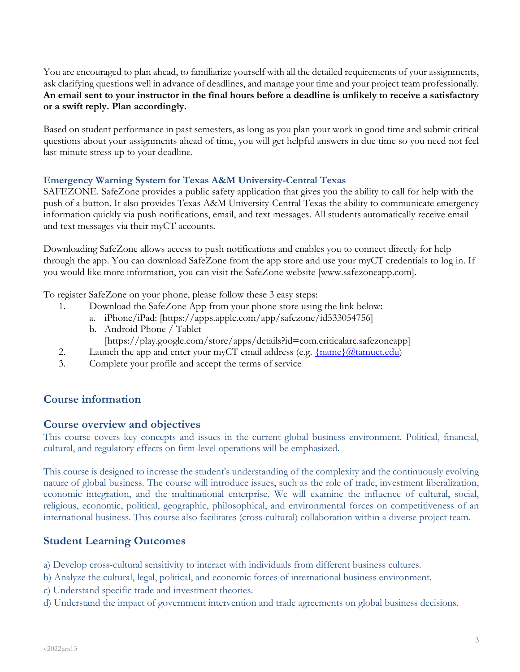You are encouraged to plan ahead, to familiarize yourself with all the detailed requirements of your assignments, ask clarifying questions well in advance of deadlines, and manage your time and your project team professionally. **An email sent to your instructor in the final hours before a deadline is unlikely to receive a satisfactory or a swift reply. Plan accordingly.**

Based on student performance in past semesters, as long as you plan your work in good time and submit critical questions about your assignments ahead of time, you will get helpful answers in due time so you need not feel last-minute stress up to your deadline.

### **Emergency Warning System for Texas A&M University-Central Texas**

SAFEZONE. SafeZone provides a public safety application that gives you the ability to call for help with the push of a button. It also provides Texas A&M University-Central Texas the ability to communicate emergency information quickly via push notifications, email, and text messages. All students automatically receive email and text messages via their myCT accounts.

Downloading SafeZone allows access to push notifications and enables you to connect directly for help through the app. You can download SafeZone from the app store and use your myCT credentials to log in. If you would like more information, you can visit the SafeZone website [www.safezoneapp.com].

To register SafeZone on your phone, please follow these 3 easy steps:

- 1. Download the SafeZone App from your phone store using the link below:
	- a. iPhone/iPad: [https://apps.apple.com/app/safezone/id533054756]
	- b. Android Phone / Tablet
		- [https://play.google.com/store/apps/details?id=com.criticalarc.safezoneapp]
- 2. Launch the app and enter your myCT email address (e.g.  $\{\text{name}\}\omega\{\text{tamuct.edu}\}$ )
- 3. Complete your profile and accept the terms of service

# **Course information**

## **Course overview and objectives**

This course covers key concepts and issues in the current global business environment. Political, financial, cultural, and regulatory effects on firm-level operations will be emphasized.

This course is designed to increase the student's understanding of the complexity and the continuously evolving nature of global business. The course will introduce issues, such as the role of trade, investment liberalization, economic integration, and the multinational enterprise. We will examine the influence of cultural, social, religious, economic, political, geographic, philosophical, and environmental forces on competitiveness of an international business. This course also facilitates (cross-cultural) collaboration within a diverse project team.

# **Student Learning Outcomes**

- a) Develop cross-cultural sensitivity to interact with individuals from different business cultures.
- b) Analyze the cultural, legal, political, and economic forces of international business environment.
- c) Understand specific trade and investment theories.
- d) Understand the impact of government intervention and trade agreements on global business decisions.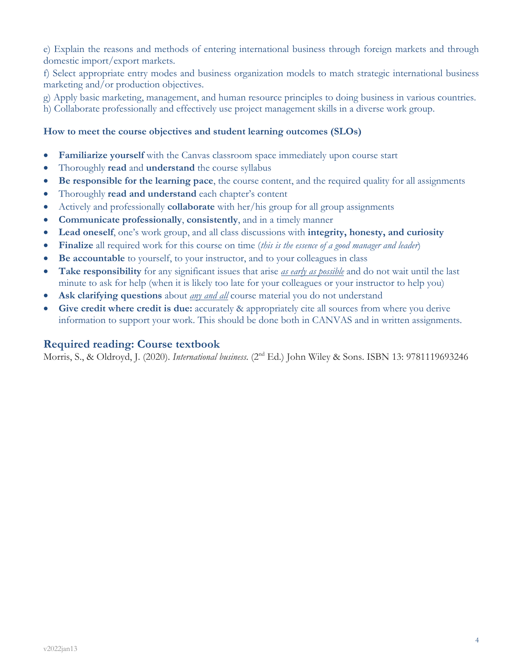e) Explain the reasons and methods of entering international business through foreign markets and through domestic import/export markets.

f) Select appropriate entry modes and business organization models to match strategic international business marketing and/or production objectives.

g) Apply basic marketing, management, and human resource principles to doing business in various countries.

h) Collaborate professionally and effectively use project management skills in a diverse work group.

### **How to meet the course objectives and student learning outcomes (SLOs)**

- **Familiarize yourself** with the Canvas classroom space immediately upon course start
- Thoroughly **read** and **understand** the course syllabus
- **Be responsible for the learning pace**, the course content, and the required quality for all assignments
- Thoroughly **read and understand** each chapter's content
- Actively and professionally **collaborate** with her/his group for all group assignments
- **Communicate professionally**, **consistently**, and in a timely manner
- **Lead oneself**, one's work group, and all class discussions with **integrity, honesty, and curiosity**
- **Finalize** all required work for this course on time (*this is the essence of a good manager and leader*)
- **Be accountable** to yourself, to your instructor, and to your colleagues in class
- **Take responsibility** for any significant issues that arise *as early as possible* and do not wait until the last minute to ask for help (when it is likely too late for your colleagues or your instructor to help you)
- **Ask clarifying questions** about *any and all* course material you do not understand
- **Give credit where credit is due:** accurately & appropriately cite all sources from where you derive information to support your work. This should be done both in CANVAS and in written assignments.

## **Required reading: Course textbook**

Morris, S., & Oldroyd, J. (2020). *International business*. (2nd Ed.) John Wiley & Sons. ISBN 13: 9781119693246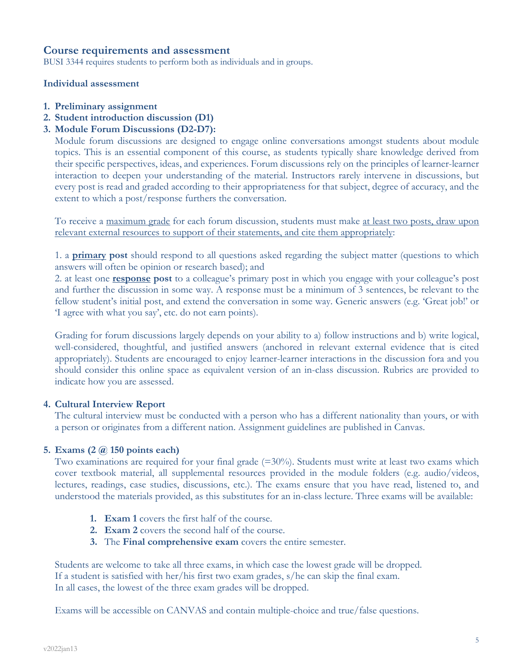### **Course requirements and assessment**

BUSI 3344 requires students to perform both as individuals and in groups.

#### **Individual assessment**

- **1. Preliminary assignment**
- **2. Student introduction discussion (D1)**
- **3. Module Forum Discussions (D2-D7):**

Module forum discussions are designed to engage online conversations amongst students about module topics. This is an essential component of this course, as students typically share knowledge derived from their specific perspectives, ideas, and experiences. Forum discussions rely on the principles of learner-learner interaction to deepen your understanding of the material. Instructors rarely intervene in discussions, but every post is read and graded according to their appropriateness for that subject, degree of accuracy, and the extent to which a post/response furthers the conversation.

To receive a maximum grade for each forum discussion, students must make at least two posts, draw upon relevant external resources to support of their statements, and cite them appropriately:

1. a **primary post** should respond to all questions asked regarding the subject matter (questions to which answers will often be opinion or research based); and

2. at least one **response post** to a colleague's primary post in which you engage with your colleague's post and further the discussion in some way. A response must be a minimum of 3 sentences, be relevant to the fellow student's initial post, and extend the conversation in some way. Generic answers (e.g. 'Great job!' or 'I agree with what you say', etc. do not earn points).

Grading for forum discussions largely depends on your ability to a) follow instructions and b) write logical, well-considered, thoughtful, and justified answers (anchored in relevant external evidence that is cited appropriately). Students are encouraged to enjoy learner-learner interactions in the discussion fora and you should consider this online space as equivalent version of an in-class discussion. Rubrics are provided to indicate how you are assessed.

#### **4. Cultural Interview Report**

The cultural interview must be conducted with a person who has a different nationality than yours, or with a person or originates from a different nation. Assignment guidelines are published in Canvas.

#### **5. Exams (2 @ 150 points each)**

Two examinations are required for your final grade (=30%). Students must write at least two exams which cover textbook material, all supplemental resources provided in the module folders (e.g. audio/videos, lectures, readings, case studies, discussions, etc.). The exams ensure that you have read, listened to, and understood the materials provided, as this substitutes for an in-class lecture. Three exams will be available:

- **1. Exam 1** covers the first half of the course.
- **2. Exam 2** covers the second half of the course.
- **3.** The **Final comprehensive exam** covers the entire semester.

Students are welcome to take all three exams, in which case the lowest grade will be dropped. If a student is satisfied with her/his first two exam grades, s/he can skip the final exam. In all cases, the lowest of the three exam grades will be dropped.

Exams will be accessible on CANVAS and contain multiple-choice and true/false questions.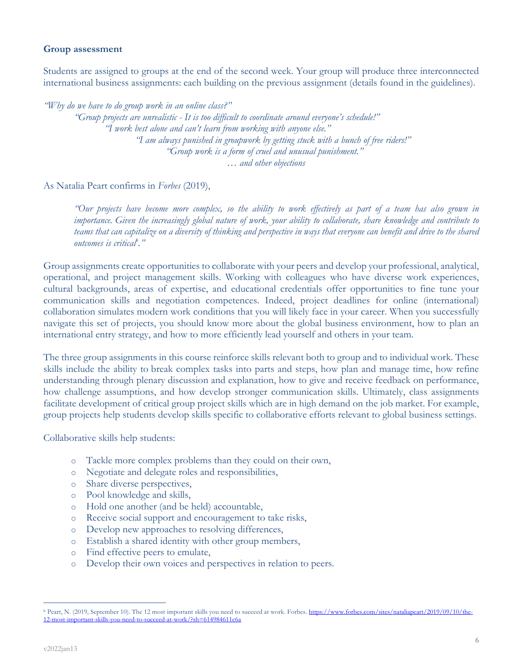### **Group assessment**

Students are assigned to groups at the end of the second week. Your group will produce three interconnected international business assignments: each building on the previous assignment (details found in the guidelines).

*"Why do we have to do group work in an online class?"*

*"Group projects are unrealistic - It is too difficult to coordinate around everyone's schedule!" "I work best alone and can't learn from working with anyone else." "I am always punished in groupwork by getting stuck with a bunch of free riders!" "Group work is a form of cruel and unusual punishment."*  … *and other objections*

As Natalia Peart confirms in *Forbes* (2019),

*"Our projects have become more complex, so the ability to work effectively as part of a team has also grown in importance. Given the increasingly global nature of work, your ability to collaborate, share knowledge and contribute to teams that can capitalize on a diversity of thinking and perspective in ways that everyone can benefit and drive to the shared outcomes is criticalb ."*

Group assignments create opportunities to collaborate with your peers and develop your professional, analytical, operational, and project management skills. Working with colleagues who have diverse work experiences, cultural backgrounds, areas of expertise, and educational credentials offer opportunities to fine tune your communication skills and negotiation competences. Indeed, project deadlines for online (international) collaboration simulates modern work conditions that you will likely face in your career. When you successfully navigate this set of projects, you should know more about the global business environment, how to plan an international entry strategy, and how to more efficiently lead yourself and others in your team.

The three group assignments in this course reinforce skills relevant both to group and to individual work. These skills include the ability to break complex tasks into parts and steps, how plan and manage time, how refine understanding through plenary discussion and explanation, how to give and receive feedback on performance, how challenge assumptions, and how develop stronger communication skills. Ultimately, class assignments facilitate development of critical group project skills which are in high demand on the job market. For example, group projects help students develop skills specific to collaborative efforts relevant to global business settings.

Collaborative skills help students:

- o Tackle more complex problems than they could on their own,
- o Negotiate and delegate roles and responsibilities,
- o Share diverse perspectives,
- o Pool knowledge and skills,
- o Hold one another (and be held) accountable,
- o Receive social support and encouragement to take risks,
- o Develop new approaches to resolving differences,
- o Establish a shared identity with other group members,
- o Find effective peers to emulate,
- o Develop their own voices and perspectives in relation to peers.

<sup>&</sup>lt;sup>b</sup> Peart, N. (2019, September 10). The 12 most important skills you need to succeed at work. Forbes. https://www.forbes.com/sites/nataliapeart/2019/09/10/the-12-most-important-skills-you-need-to-succeed-at-work/?sh=614984611c6a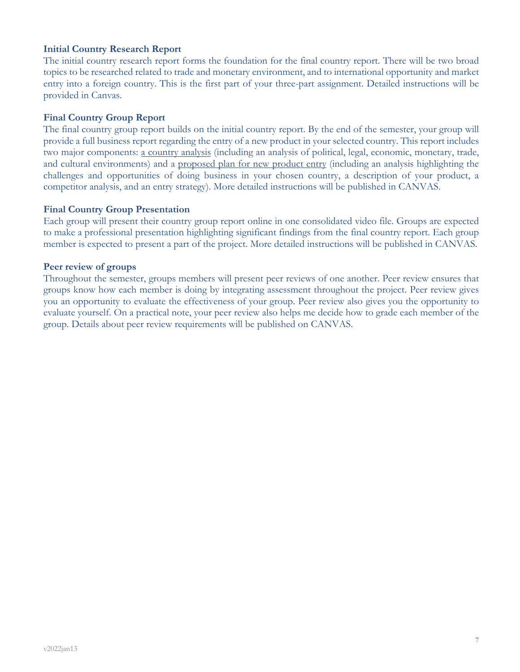### **Initial Country Research Report**

The initial country research report forms the foundation for the final country report. There will be two broad topics to be researched related to trade and monetary environment, and to international opportunity and market entry into a foreign country. This is the first part of your three-part assignment. Detailed instructions will be provided in Canvas.

### **Final Country Group Report**

The final country group report builds on the initial country report. By the end of the semester, your group will provide a full business report regarding the entry of a new product in your selected country. This report includes two major components: a country analysis (including an analysis of political, legal, economic, monetary, trade, and cultural environments) and a proposed plan for new product entry (including an analysis highlighting the challenges and opportunities of doing business in your chosen country, a description of your product, a competitor analysis, and an entry strategy). More detailed instructions will be published in CANVAS.

#### **Final Country Group Presentation**

Each group will present their country group report online in one consolidated video file. Groups are expected to make a professional presentation highlighting significant findings from the final country report. Each group member is expected to present a part of the project. More detailed instructions will be published in CANVAS.

#### **Peer review of groups**

Throughout the semester, groups members will present peer reviews of one another. Peer review ensures that groups know how each member is doing by integrating assessment throughout the project. Peer review gives you an opportunity to evaluate the effectiveness of your group. Peer review also gives you the opportunity to evaluate yourself. On a practical note, your peer review also helps me decide how to grade each member of the group. Details about peer review requirements will be published on CANVAS.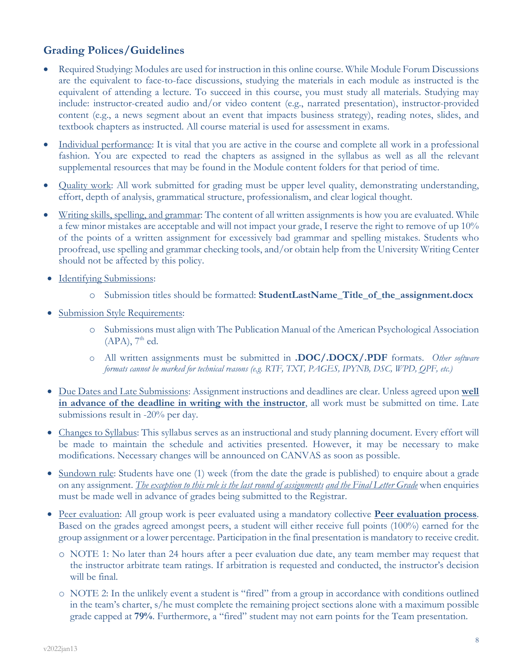# **Grading Polices/Guidelines**

- Required Studying: Modules are used for instruction in this online course. While Module Forum Discussions are the equivalent to face-to-face discussions, studying the materials in each module as instructed is the equivalent of attending a lecture. To succeed in this course, you must study all materials. Studying may include: instructor-created audio and/or video content (e.g., narrated presentation), instructor-provided content (e.g., a news segment about an event that impacts business strategy), reading notes, slides, and textbook chapters as instructed. All course material is used for assessment in exams.
- Individual performance: It is vital that you are active in the course and complete all work in a professional fashion. You are expected to read the chapters as assigned in the syllabus as well as all the relevant supplemental resources that may be found in the Module content folders for that period of time.
- Quality work: All work submitted for grading must be upper level quality, demonstrating understanding, effort, depth of analysis, grammatical structure, professionalism, and clear logical thought.
- Writing skills, spelling, and grammar: The content of all written assignments is how you are evaluated. While a few minor mistakes are acceptable and will not impact your grade, I reserve the right to remove of up 10% of the points of a written assignment for excessively bad grammar and spelling mistakes. Students who proofread, use spelling and grammar checking tools, and/or obtain help from the University Writing Center should not be affected by this policy.
- Identifying Submissions:
	- o Submission titles should be formatted: **StudentLastName\_Title\_of\_the\_assignment.docx**
- Submission Style Requirements:
	- o Submissions must align with The Publication Manual of the American Psychological Association  $(APA)$ ,  $7<sup>th</sup>$  ed.
	- o All written assignments must be submitted in **.DOC/.DOCX/.PDF** formats. *Other software formats cannot be marked for technical reasons (e.g. RTF, TXT, PAGES, IPYNB, DSC, WPD, QPF, etc.)*
- Due Dates and Late Submissions: Assignment instructions and deadlines are clear. Unless agreed upon **well in advance of the deadline in writing with the instructor**, all work must be submitted on time. Late submissions result in -20% per day.
- Changes to Syllabus: This syllabus serves as an instructional and study planning document. Every effort will be made to maintain the schedule and activities presented. However, it may be necessary to make modifications. Necessary changes will be announced on CANVAS as soon as possible.
- Sundown rule: Students have one (1) week (from the date the grade is published) to enquire about a grade on any assignment. *The exception to this rule is the last round of assignments and the Final Letter Grade* when enquiries must be made well in advance of grades being submitted to the Registrar.
- Peer evaluation: All group work is peer evaluated using a mandatory collective **Peer evaluation process**. Based on the grades agreed amongst peers, a student will either receive full points (100%) earned for the group assignment or a lower percentage. Participation in the final presentation is mandatory to receive credit.
	- o NOTE 1: No later than 24 hours after a peer evaluation due date, any team member may request that the instructor arbitrate team ratings. If arbitration is requested and conducted, the instructor's decision will be final.
	- o NOTE 2: In the unlikely event a student is "fired" from a group in accordance with conditions outlined in the team's charter, s/he must complete the remaining project sections alone with a maximum possible grade capped at **79%**. Furthermore, a "fired" student may not earn points for the Team presentation.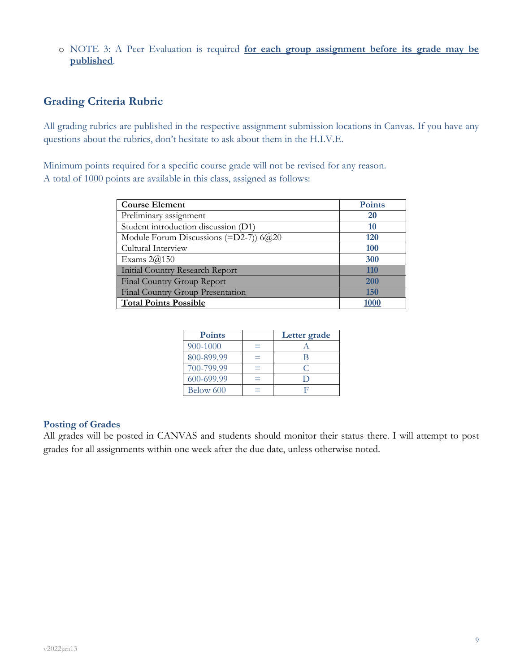o NOTE 3: A Peer Evaluation is required **for each group assignment before its grade may be published**.

# **Grading Criteria Rubric**

All grading rubrics are published in the respective assignment submission locations in Canvas. If you have any questions about the rubrics, don't hesitate to ask about them in the H.I.V.E.

Minimum points required for a specific course grade will not be revised for any reason. A total of 1000 points are available in this class, assigned as follows:

| <b>Course Element</b>                          | <b>Points</b> |
|------------------------------------------------|---------------|
| Preliminary assignment                         | 20            |
| Student introduction discussion (D1)           | 10            |
| Module Forum Discussions (=D2-7)) $6\omega$ 20 | <b>120</b>    |
| Cultural Interview                             | 100           |
| Exams $2@150$                                  | 300           |
| <b>Initial Country Research Report</b>         | 110           |
| Final Country Group Report                     | 200           |
| Final Country Group Presentation               | 150           |
| <b>Total Points Possible</b>                   |               |

| <b>Points</b> | Letter grade |
|---------------|--------------|
| 900-1000      |              |
| 800-899.99    |              |
| 700-799.99    |              |
| 600-699.99    |              |
| Below 600     |              |

### **Posting of Grades**

All grades will be posted in CANVAS and students should monitor their status there. I will attempt to post grades for all assignments within one week after the due date, unless otherwise noted.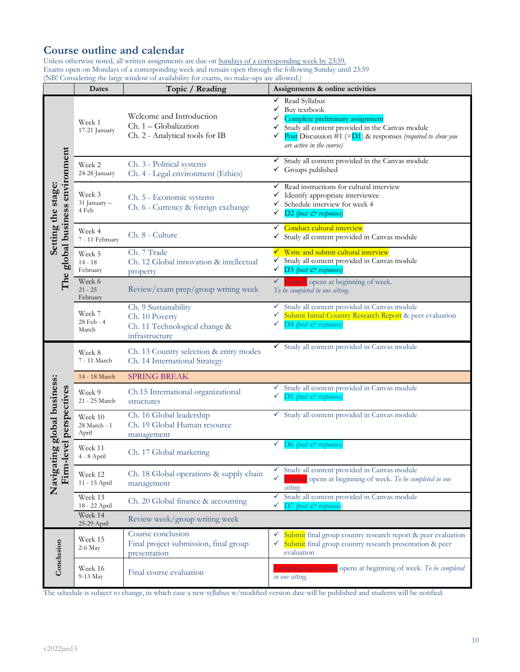# **Course outline and calendar**

Unless otherwise noted, all written assignments are due on Sundays of a corresponding week by 23:59. Exams open on Mondays of a corresponding week and remain open through the following Sunday until 23:59 (NB! Considering the large window of availability for exams, no make-ups are allowed.)

|                                                       | Dates                            | Topic / Reading                                                                           | Assignments & online activities                                                                                                                                                                                                                |
|-------------------------------------------------------|----------------------------------|-------------------------------------------------------------------------------------------|------------------------------------------------------------------------------------------------------------------------------------------------------------------------------------------------------------------------------------------------|
|                                                       | Week 1<br>17-21 January          | Welcome and Introduction<br>Ch. 1 - Globalization<br>Ch. 2 - Analytical tools for IB      | $\checkmark$ Read Syllabus<br>Buy textbook<br>✓<br>Complete preliminary assignment<br>Study all content provided in the Canvas module<br>✓<br>Post Discussion #1 (= $D1$ ) & responses (required to show you<br>✓<br>are active in the course) |
|                                                       | Week 2<br>24-28 January          | Ch. 3 - Political systems<br>Ch. 4 - Legal environment (Ethics)                           | Study all content provided in the Canvas module<br>✓<br>$\checkmark$ Groups published                                                                                                                                                          |
| The global business environment<br>Setting the stage: | Week 3<br>31 January -<br>4 Feb  | Ch. 5 - Economic systems<br>Ch. 6 - Currency & foreign exchange                           | $\checkmark$ Read instructions for cultural interview<br>$\checkmark$ Identify appropriate interviewee<br>$\checkmark$ Schedule interview for week 4<br>D2 (post & responses)<br>✓                                                             |
|                                                       | Week 4<br>7 - 11 February        | Ch. 8 - Culture                                                                           | Conduct cultural interview<br>✓<br>✔ Study all content provided in Canvas module                                                                                                                                                               |
|                                                       | Week 5<br>$14 - 18$<br>February  | Ch. 7 Trade<br>Ch. 12 Global innovation & intellectual<br>property                        | √ Write and submit cultural interview<br>✔ Study all content provided in Canvas module<br>√ D <sub>3</sub> (post & responses)                                                                                                                  |
|                                                       | Week 6<br>$21 - 25$<br>February  | Review/exam prep/group writing week                                                       | $\checkmark$ Exam 1 opens at beginning of week.<br>To be completed in one sitting.                                                                                                                                                             |
|                                                       | Week 7<br>28 Feb - 4<br>March    | Ch. 9 Sustainability<br>Ch. 10 Poverty<br>Ch. 11 Technological change &<br>infrastructure | Study all content provided in Canvas module<br>✓<br>Submit Initial Country Research Report & peer evaluation<br>✓<br>D4 (post & responses)                                                                                                     |
|                                                       | Week 8<br>7 - 11 March           | Ch. 13 Country selection & entry modes<br>Ch. 14 International Strategy                   | Study all content provided in Canvas module                                                                                                                                                                                                    |
|                                                       | 14 - 18 March                    | <b>SPRING BREAK</b>                                                                       |                                                                                                                                                                                                                                                |
|                                                       | Week 9<br>21 - 25 March          | Ch.15 International organizational<br>structures                                          | Study all content provided in Canvas module<br>✓<br>D5 (post & responses)<br>✓                                                                                                                                                                 |
| ting global business:<br>-level perspectives          | Week 10<br>28 March - 1<br>April | Ch. 16 Global leadership<br>Ch. 19 Global Human resource<br>management                    | ✔ Study all content provided in Canvas module                                                                                                                                                                                                  |
|                                                       | Week 11<br>4 - 8 April           | Ch. 17 Global marketing                                                                   | $D6$ (post $\breve{c}$ <sup>2</sup> responses)<br>✓                                                                                                                                                                                            |
| Navigat<br>Firm-                                      | Week 12<br>11 - 15 April         | Ch. 18 Global operations & supply chain<br>management                                     | Study all content provided in Canvas module<br>✓<br>Exam 2 opens at beginning of week. To be completed in one<br>sitting.                                                                                                                      |
|                                                       | Week 13<br>18 - 22 April         | Ch. 20 Global finance & accounting                                                        | Study all content provided in Canvas module<br>✓<br>✓<br>$D7$ (post $\breve{c}$ <sup>2</sup> responses)                                                                                                                                        |
|                                                       | Week 14<br>25-29 April           | Review week/group writing week                                                            |                                                                                                                                                                                                                                                |
| Conclusion                                            | Week 15<br>2-6 May               | Course conclusion<br>Final project submission, final group<br>presentation                | Submit final group country research report & peer evaluation<br>v.<br>Submit final group country research presentation & peer<br>✓<br>evaluation                                                                                               |
|                                                       | Week 16<br>9-13 May              | Final course evaluation                                                                   | Comprehensive exam opens at beginning of week. To be completed<br>in one sitting.                                                                                                                                                              |

The schedule is subject to change, in which case a new syllabus w/modified version date will be published and students will be notified.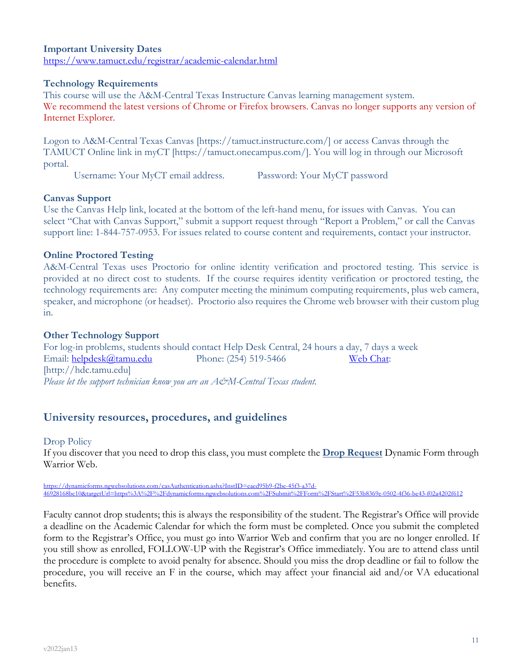### **Important University Dates** https://www.tamuct.edu/registrar/academic-calendar.html

### **Technology Requirements**

This course will use the A&M-Central Texas Instructure Canvas learning management system. We recommend the latest versions of Chrome or Firefox browsers. Canvas no longer supports any version of Internet Explorer.

Logon to A&M-Central Texas Canvas [https://tamuct.instructure.com/] or access Canvas through the TAMUCT Online link in myCT [https://tamuct.onecampus.com/]. You will log in through our Microsoft portal.

Username: Your MyCT email address. Password: Your MyCT password

#### **Canvas Support**

Use the Canvas Help link, located at the bottom of the left-hand menu, for issues with Canvas. You can select "Chat with Canvas Support," submit a support request through "Report a Problem," or call the Canvas support line: 1-844-757-0953. For issues related to course content and requirements, contact your instructor.

#### **Online Proctored Testing**

A&M-Central Texas uses Proctorio for online identity verification and proctored testing. This service is provided at no direct cost to students. If the course requires identity verification or proctored testing, the technology requirements are: Any computer meeting the minimum computing requirements, plus web camera, speaker, and microphone (or headset). Proctorio also requires the Chrome web browser with their custom plug in.

#### **Other Technology Support**

For log-in problems, students should contact Help Desk Central, 24 hours a day, 7 days a week Email: helpdesk@tamu.edu Phone: (254) 519-5466 Web Chat: [http://hdc.tamu.edu] *Please let the support technician know you are an A&M-Central Texas student.*

## **University resources, procedures, and guidelines**

#### Drop Policy

If you discover that you need to drop this class, you must complete the **Drop Request** Dynamic Form through Warrior Web.

https://dynamicforms.ngwebsolutions.com/casAuthentication.ashx?InstID=eaed95b9-f2be-45f3-a37d-46928168bc10&targetUrl=https%3A%2F%2Fdynamicforms.ngwebsolutions.com%2FSubmit%2FForm%2FStart%2F53b8369e-0502-4f36-be43-f02a4202f612

Faculty cannot drop students; this is always the responsibility of the student. The Registrar's Office will provide a deadline on the Academic Calendar for which the form must be completed. Once you submit the completed form to the Registrar's Office, you must go into Warrior Web and confirm that you are no longer enrolled. If you still show as enrolled, FOLLOW-UP with the Registrar's Office immediately. You are to attend class until the procedure is complete to avoid penalty for absence. Should you miss the drop deadline or fail to follow the procedure, you will receive an F in the course, which may affect your financial aid and/or VA educational benefits.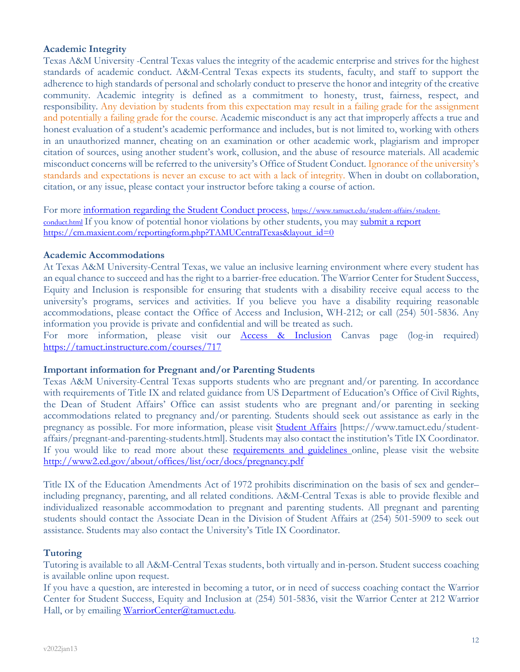### **Academic Integrity**

Texas A&M University -Central Texas values the integrity of the academic enterprise and strives for the highest standards of academic conduct. A&M-Central Texas expects its students, faculty, and staff to support the adherence to high standards of personal and scholarly conduct to preserve the honor and integrity of the creative community. Academic integrity is defined as a commitment to honesty, trust, fairness, respect, and responsibility. Any deviation by students from this expectation may result in a failing grade for the assignment and potentially a failing grade for the course. Academic misconduct is any act that improperly affects a true and honest evaluation of a student's academic performance and includes, but is not limited to, working with others in an unauthorized manner, cheating on an examination or other academic work, plagiarism and improper citation of sources, using another student's work, collusion, and the abuse of resource materials. All academic misconduct concerns will be referred to the university's Office of Student Conduct. Ignorance of the university's standards and expectations is never an excuse to act with a lack of integrity. When in doubt on collaboration, citation, or any issue, please contact your instructor before taking a course of action.

For more information regarding the Student Conduct process, https://www.tamuct.edu/student-affairs/studentconduct.html If you know of potential honor violations by other students, you may submit a report https://cm.maxient.com/reportingform.php?TAMUCentralTexas&layout\_id=0

#### **Academic Accommodations**

At Texas A&M University-Central Texas, we value an inclusive learning environment where every student has an equal chance to succeed and has the right to a barrier-free education. The Warrior Center for Student Success, Equity and Inclusion is responsible for ensuring that students with a disability receive equal access to the university's programs, services and activities. If you believe you have a disability requiring reasonable accommodations, please contact the Office of Access and Inclusion, WH-212; or call (254) 501-5836. Any information you provide is private and confidential and will be treated as such.

For more information, please visit our **Access & Inclusion** Canvas page (log-in required) https://tamuct.instructure.com/courses/717

#### **Important information for Pregnant and/or Parenting Students**

Texas A&M University-Central Texas supports students who are pregnant and/or parenting. In accordance with requirements of Title IX and related guidance from US Department of Education's Office of Civil Rights, the Dean of Student Affairs' Office can assist students who are pregnant and/or parenting in seeking accommodations related to pregnancy and/or parenting. Students should seek out assistance as early in the pregnancy as possible. For more information, please visit Student Affairs [https://www.tamuct.edu/studentaffairs/pregnant-and-parenting-students.html]. Students may also contact the institution's Title IX Coordinator. If you would like to read more about these **requirements and guidelines** online, please visit the website http://www2.ed.gov/about/offices/list/ocr/docs/pregnancy.pdf

Title IX of the Education Amendments Act of 1972 prohibits discrimination on the basis of sex and gender– including pregnancy, parenting, and all related conditions. A&M-Central Texas is able to provide flexible and individualized reasonable accommodation to pregnant and parenting students. All pregnant and parenting students should contact the Associate Dean in the Division of Student Affairs at (254) 501-5909 to seek out assistance. Students may also contact the University's Title IX Coordinator.

### **Tutoring**

Tutoring is available to all A&M-Central Texas students, both virtually and in-person. Student success coaching is available online upon request.

If you have a question, are interested in becoming a tutor, or in need of success coaching contact the Warrior Center for Student Success, Equity and Inclusion at (254) 501-5836, visit the Warrior Center at 212 Warrior Hall, or by emailing WarriorCenter@tamuct.edu.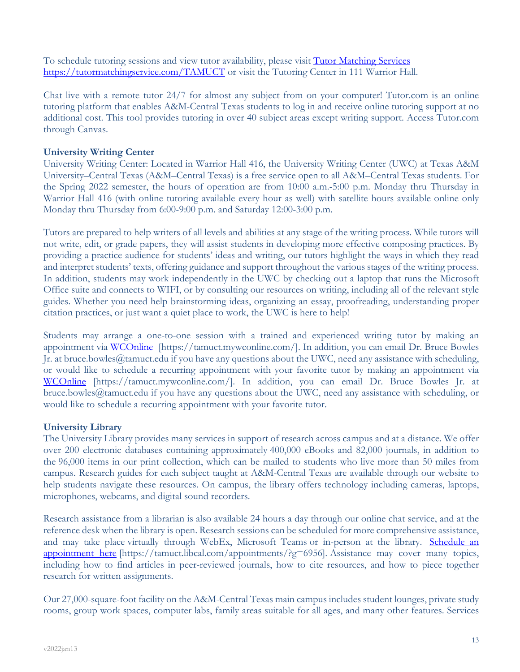To schedule tutoring sessions and view tutor availability, please visit Tutor Matching Services https://tutormatchingservice.com/TAMUCT or visit the Tutoring Center in 111 Warrior Hall.

Chat live with a remote tutor 24/7 for almost any subject from on your computer! Tutor.com is an online tutoring platform that enables A&M-Central Texas students to log in and receive online tutoring support at no additional cost. This tool provides tutoring in over 40 subject areas except writing support. Access Tutor.com through Canvas.

### **University Writing Center**

University Writing Center: Located in Warrior Hall 416, the University Writing Center (UWC) at Texas A&M University–Central Texas (A&M–Central Texas) is a free service open to all A&M–Central Texas students. For the Spring 2022 semester, the hours of operation are from 10:00 a.m.-5:00 p.m. Monday thru Thursday in Warrior Hall 416 (with online tutoring available every hour as well) with satellite hours available online only Monday thru Thursday from 6:00-9:00 p.m. and Saturday 12:00-3:00 p.m.

Tutors are prepared to help writers of all levels and abilities at any stage of the writing process. While tutors will not write, edit, or grade papers, they will assist students in developing more effective composing practices. By providing a practice audience for students' ideas and writing, our tutors highlight the ways in which they read and interpret students' texts, offering guidance and support throughout the various stages of the writing process. In addition, students may work independently in the UWC by checking out a laptop that runs the Microsoft Office suite and connects to WIFI, or by consulting our resources on writing, including all of the relevant style guides. Whether you need help brainstorming ideas, organizing an essay, proofreading, understanding proper citation practices, or just want a quiet place to work, the UWC is here to help!

Students may arrange a one-to-one session with a trained and experienced writing tutor by making an appointment via WCOnline [https://tamuct.mywconline.com/]. In addition, you can email Dr. Bruce Bowles Jr. at bruce.bowles@tamuct.edu if you have any questions about the UWC, need any assistance with scheduling, or would like to schedule a recurring appointment with your favorite tutor by making an appointment via WCOnline [https://tamuct.mywconline.com/]. In addition, you can email Dr. Bruce Bowles Jr. at bruce.bowles@tamuct.edu if you have any questions about the UWC, need any assistance with scheduling, or would like to schedule a recurring appointment with your favorite tutor.

### **University Library**

The University Library provides many services in support of research across campus and at a distance. We offer over 200 electronic databases containing approximately 400,000 eBooks and 82,000 journals, in addition to the 96,000 items in our print collection, which can be mailed to students who live more than 50 miles from campus. Research guides for each subject taught at A&M-Central Texas are available through our website to help students navigate these resources. On campus, the library offers technology including cameras, laptops, microphones, webcams, and digital sound recorders.

Research assistance from a librarian is also available 24 hours a day through our online chat service, and at the reference desk when the library is open. Research sessions can be scheduled for more comprehensive assistance, and may take place virtually through WebEx, Microsoft Teams or in-person at the library. Schedule an appointment here [https://tamuct.libcal.com/appointments/?g=6956]. Assistance may cover many topics, including how to find articles in peer-reviewed journals, how to cite resources, and how to piece together research for written assignments.

Our 27,000-square-foot facility on the A&M-Central Texas main campus includes student lounges, private study rooms, group work spaces, computer labs, family areas suitable for all ages, and many other features. Services